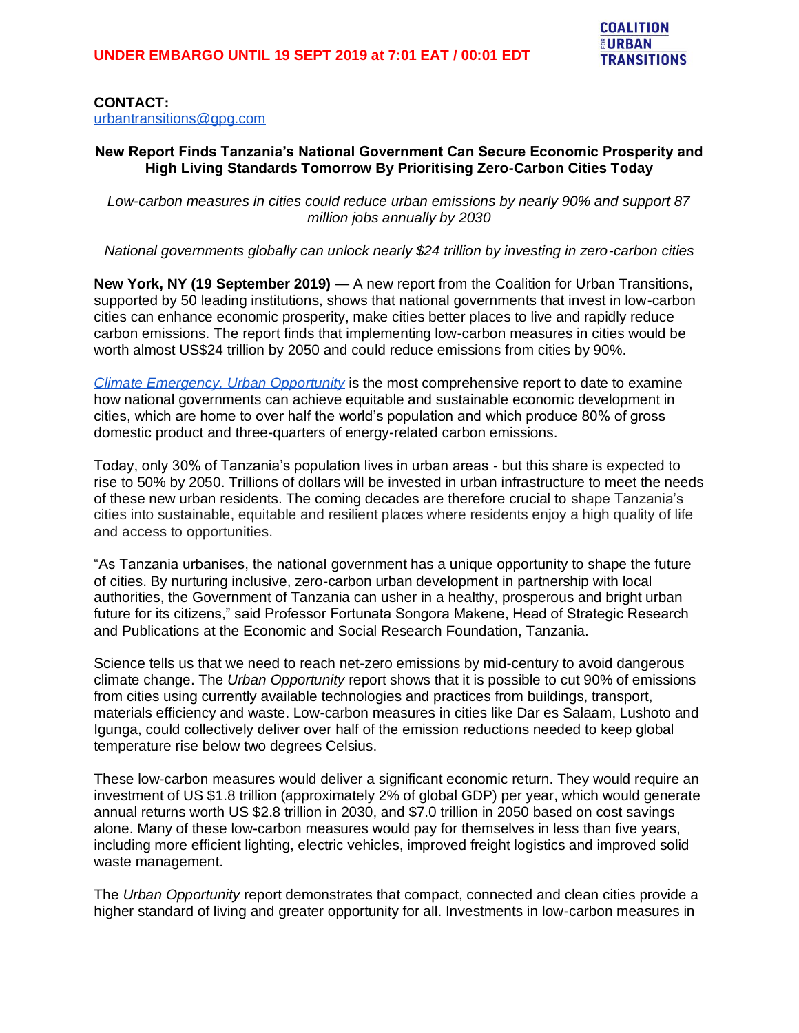## **CONTACT:**

[urbantransitions@gpg.com](mailto:urbantransitions@gpg.com)

## **New Report Finds Tanzania's National Government Can Secure Economic Prosperity and High Living Standards Tomorrow By Prioritising Zero-Carbon Cities Today**

*Low-carbon measures in cities could reduce urban emissions by nearly 90% and support 87 million jobs annually by 2030*

*National governments globally can unlock nearly \$24 trillion by investing in zero-carbon cities*

**New York, NY (19 September 2019)** — A new report from the Coalition for Urban Transitions, supported by 50 leading institutions, shows that national governments that invest in low-carbon cities can enhance economic prosperity, make cities better places to live and rapidly reduce carbon emissions. The report finds that implementing low-carbon measures in cities would be worth almost US\$24 trillion by 2050 and could reduce emissions from cities by 90%.

*[Climate Emergency, Urban Opportunity](https://urbantransitions.global/urban-opportunity/)* is the most comprehensive report to date to examine how national governments can achieve equitable and sustainable economic development in cities, which are home to over half the world's population and which produce 80% of gross domestic product and three-quarters of energy-related carbon emissions.

Today, only 30% of Tanzania's population lives in urban areas - but this share is expected to rise to 50% by 2050. Trillions of dollars will be invested in urban infrastructure to meet the needs of these new urban residents. The coming decades are therefore crucial to shape Tanzania's cities into sustainable, equitable and resilient places where residents enjoy a high quality of life and access to opportunities.

"As Tanzania urbanises, the national government has a unique opportunity to shape the future of cities. By nurturing inclusive, zero-carbon urban development in partnership with local authorities, the Government of Tanzania can usher in a healthy, prosperous and bright urban future for its citizens," said Professor Fortunata Songora Makene, Head of Strategic Research and Publications at the Economic and Social Research Foundation, Tanzania.

Science tells us that we need to reach net-zero emissions by mid-century to avoid dangerous climate change. The *Urban Opportunity* report shows that it is possible to cut 90% of emissions from cities using currently available technologies and practices from buildings, transport, materials efficiency and waste. Low-carbon measures in cities like Dar es Salaam, Lushoto and Igunga, could collectively deliver over half of the emission reductions needed to keep global temperature rise below two degrees Celsius.

These low-carbon measures would deliver a significant economic return. They would require an investment of US \$1.8 trillion (approximately 2% of global GDP) per year, which would generate annual returns worth US \$2.8 trillion in 2030, and \$7.0 trillion in 2050 based on cost savings alone. Many of these low-carbon measures would pay for themselves in less than five years, including more efficient lighting, electric vehicles, improved freight logistics and improved solid waste management.

The *Urban Opportunity* report demonstrates that compact, connected and clean cities provide a higher standard of living and greater opportunity for all. Investments in low-carbon measures in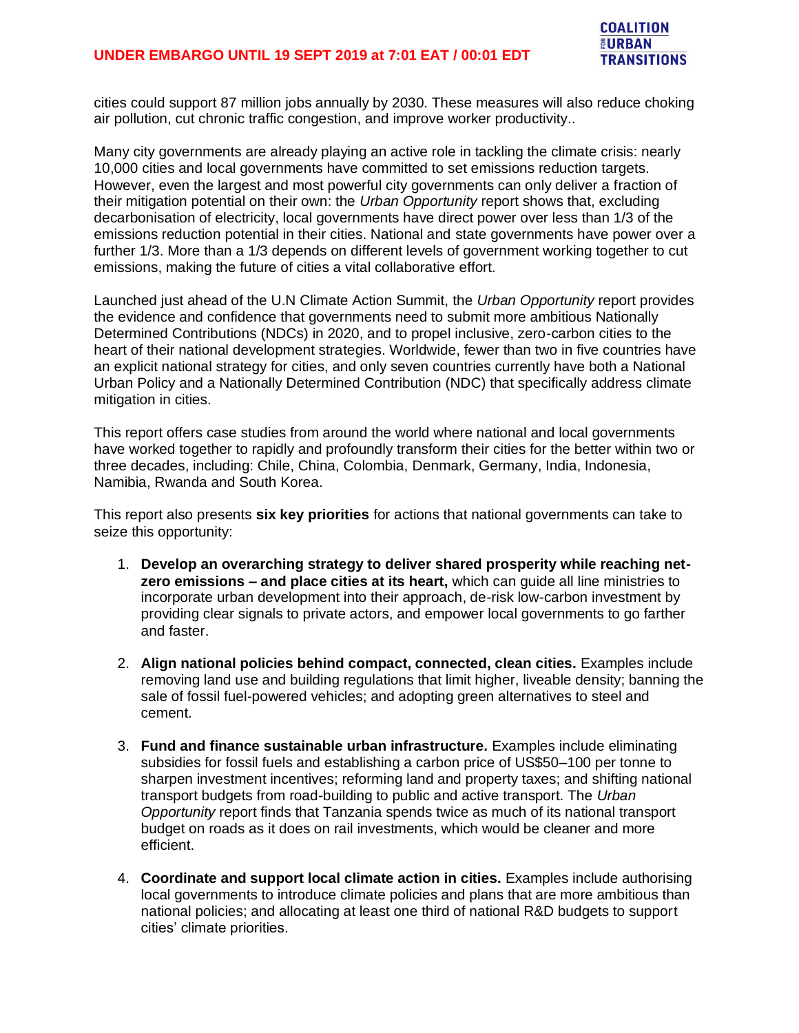cities could support 87 million jobs annually by 2030. These measures will also reduce choking air pollution, cut chronic traffic congestion, and improve worker productivity..

Many city governments are already playing an active role in tackling the climate crisis: nearly 10,000 cities and local governments have committed to set emissions reduction targets. However, even the largest and most powerful city governments can only deliver a fraction of their mitigation potential on their own: the *Urban Opportunity* report shows that, excluding decarbonisation of electricity, local governments have direct power over less than 1/3 of the emissions reduction potential in their cities. National and state governments have power over a further 1/3. More than a 1/3 depends on different levels of government working together to cut emissions, making the future of cities a vital collaborative effort.

Launched just ahead of the U.N Climate Action Summit, the *Urban Opportunity* report provides the evidence and confidence that governments need to submit more ambitious Nationally Determined Contributions (NDCs) in 2020, and to propel inclusive, zero-carbon cities to the heart of their national development strategies. Worldwide, fewer than two in five countries have an explicit national strategy for cities, and only seven countries currently have both a National Urban Policy and a Nationally Determined Contribution (NDC) that specifically address climate mitigation in cities.

This report offers case studies from around the world where national and local governments have worked together to rapidly and profoundly transform their cities for the better within two or three decades, including: Chile, China, Colombia, Denmark, Germany, India, Indonesia, Namibia, Rwanda and South Korea.

This report also presents **six key priorities** for actions that national governments can take to seize this opportunity:

- 1. **Develop an overarching strategy to deliver shared prosperity while reaching netzero emissions – and place cities at its heart,** which can guide all line ministries to incorporate urban development into their approach, de-risk low-carbon investment by providing clear signals to private actors, and empower local governments to go farther and faster.
- 2. **Align national policies behind compact, connected, clean cities.** Examples include removing land use and building regulations that limit higher, liveable density; banning the sale of fossil fuel-powered vehicles; and adopting green alternatives to steel and cement.
- 3. **Fund and finance sustainable urban infrastructure.** Examples include eliminating subsidies for fossil fuels and establishing a carbon price of US\$50–100 per tonne to sharpen investment incentives; reforming land and property taxes; and shifting national transport budgets from road-building to public and active transport. The *Urban Opportunity* report finds that Tanzania spends twice as much of its national transport budget on roads as it does on rail investments, which would be cleaner and more efficient.
- 4. **Coordinate and support local climate action in cities.** Examples include authorising local governments to introduce climate policies and plans that are more ambitious than national policies; and allocating at least one third of national R&D budgets to support cities' climate priorities.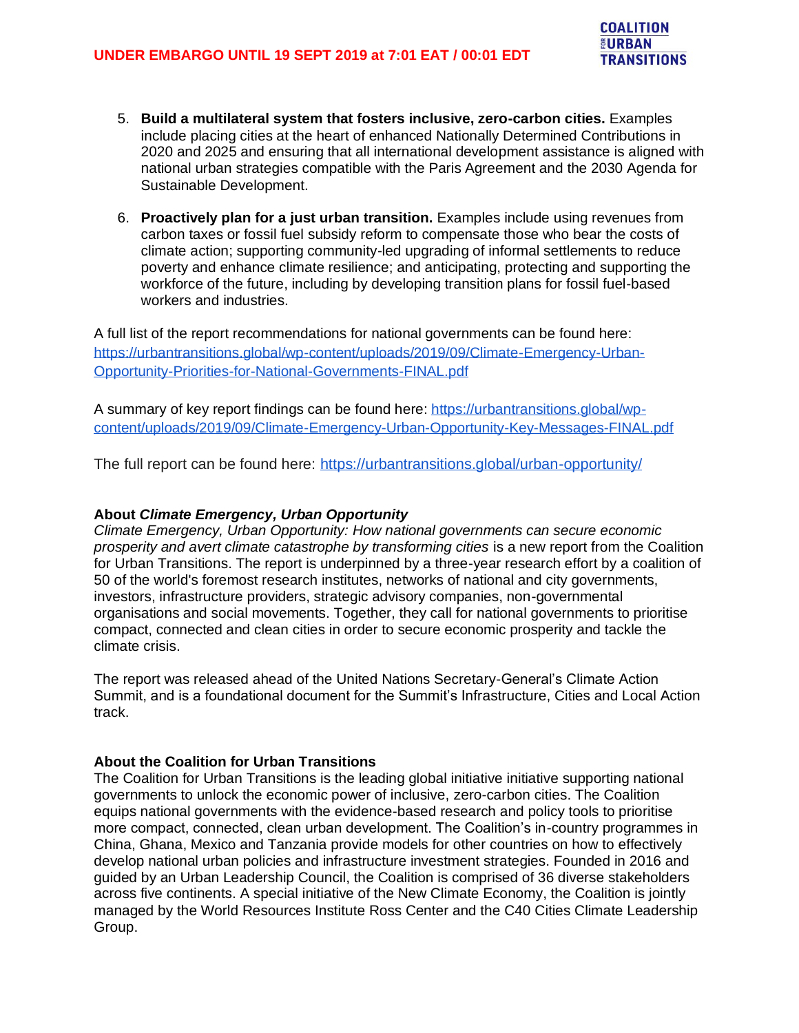- 5. **Build a multilateral system that fosters inclusive, zero-carbon cities.** Examples include placing cities at the heart of enhanced Nationally Determined Contributions in 2020 and 2025 and ensuring that all international development assistance is aligned with national urban strategies compatible with the Paris Agreement and the 2030 Agenda for Sustainable Development.
- 6. **Proactively plan for a just urban transition.** Examples include using revenues from carbon taxes or fossil fuel subsidy reform to compensate those who bear the costs of climate action; supporting community-led upgrading of informal settlements to reduce poverty and enhance climate resilience; and anticipating, protecting and supporting the workforce of the future, including by developing transition plans for fossil fuel-based workers and industries.

A full list of the report recommendations for national governments can be found here: [https://urbantransitions.global/wp-content/uploads/2019/09/Climate-Emergency-Urban-](https://urbantransitions.global/wp-content/uploads/2019/09/Climate-Emergency-Urban-Opportunity-Priorities-for-National-Governments-FINAL.pdf)[Opportunity-Priorities-for-National-Governments-FINAL.pdf](https://urbantransitions.global/wp-content/uploads/2019/09/Climate-Emergency-Urban-Opportunity-Priorities-for-National-Governments-FINAL.pdf)

A summary of key report findings can be found here: [https://urbantransitions.global/wp](https://urbantransitions.global/wp-content/uploads/2019/09/Climate-Emergency-Urban-Opportunity-Key-Messages-FINAL.pdf)[content/uploads/2019/09/Climate-Emergency-Urban-Opportunity-Key-Messages-FINAL.pdf](https://urbantransitions.global/wp-content/uploads/2019/09/Climate-Emergency-Urban-Opportunity-Key-Messages-FINAL.pdf)

The full report can be found here:<https://urbantransitions.global/urban-opportunity/>

## **About** *Climate Emergency, Urban Opportunity*

*Climate Emergency, Urban Opportunity: How national governments can secure economic prosperity and avert climate catastrophe by transforming cities* is a new report from the Coalition for Urban Transitions. The report is underpinned by a three-year research effort by a coalition of 50 of the world's foremost research institutes, networks of national and city governments, investors, infrastructure providers, strategic advisory companies, non-governmental organisations and social movements. Together, they call for national governments to prioritise compact, connected and clean cities in order to secure economic prosperity and tackle the climate crisis.

The report was released ahead of the United Nations Secretary-General's Climate Action Summit, and is a foundational document for the Summit's Infrastructure, Cities and Local Action track.

## **About the Coalition for Urban Transitions**

The Coalition for Urban Transitions is the leading global initiative initiative supporting national governments to unlock the economic power of inclusive, zero-carbon cities. The Coalition equips national governments with the evidence-based research and policy tools to prioritise more compact, connected, clean urban development. The Coalition's in-country programmes in China, Ghana, Mexico and Tanzania provide models for other countries on how to effectively develop national urban policies and infrastructure investment strategies. Founded in 2016 and guided by an Urban Leadership Council, the Coalition is comprised of 36 diverse stakeholders across five continents. A special initiative of the New Climate Economy, the Coalition is jointly managed by the World Resources Institute Ross Center and the C40 Cities Climate Leadership Group.